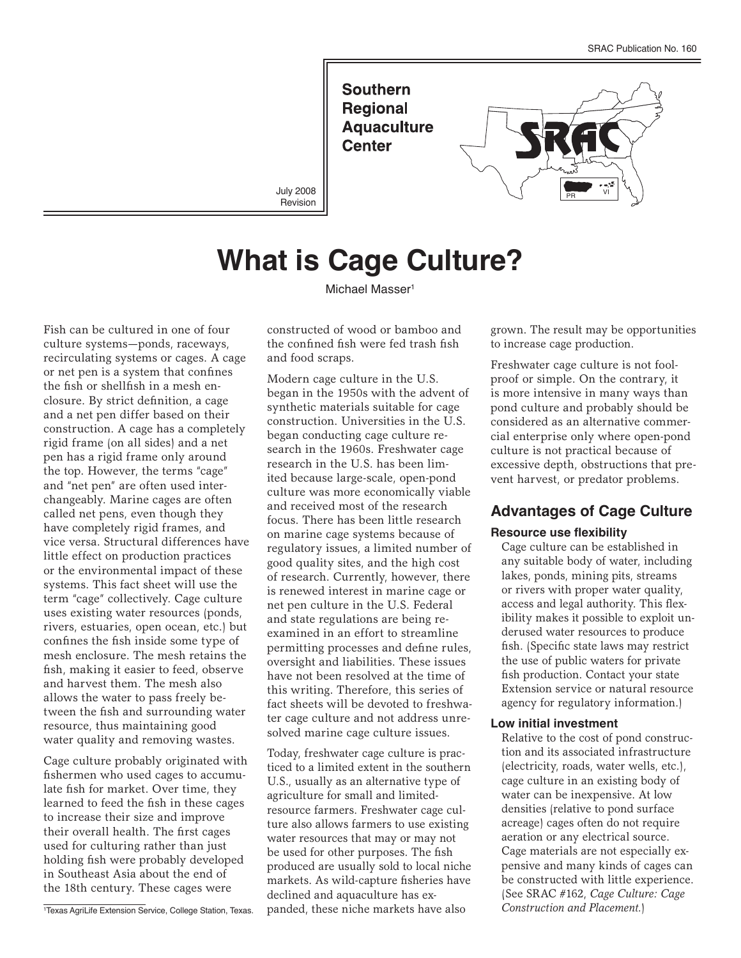**Southern Regional Aquaculture Center** 



July 2008 Revision

# **What is Cage Culture?**

Michael Masser<sup>1</sup>

Fish can be cultured in one of four culture systems—ponds, raceways, recirculating systems or cages. A cage or net pen is a system that confines the fish or shellfish in a mesh enclosure. By strict definition, a cage and a net pen differ based on their construction. A cage has a completely rigid frame (on all sides) and a net pen has a rigid frame only around the top. However, the terms "cage" and "net pen" are often used interchangeably. Marine cages are often called net pens, even though they have completely rigid frames, and vice versa. Structural differences have little effect on production practices or the environmental impact of these systems. This fact sheet will use the term "cage" collectively. Cage culture uses existing water resources (ponds, rivers, estuaries, open ocean, etc.) but confines the fish inside some type of mesh enclosure. The mesh retains the fish, making it easier to feed, observe and harvest them. The mesh also allows the water to pass freely between the fish and surrounding water resource, thus maintaining good water quality and removing wastes.

Cage culture probably originated with fishermen who used cages to accumulate fish for market. Over time, they learned to feed the fish in these cages to increase their size and improve their overall health. The first cages used for culturing rather than just holding fish were probably developed in Southeast Asia about the end of the 18th century. These cages were

constructed of wood or bamboo and the confined fish were fed trash fish and food scraps.

Modern cage culture in the U.S. began in the 1950s with the advent of synthetic materials suitable for cage construction. Universities in the U.S. began conducting cage culture research in the 1960s. Freshwater cage research in the U.S. has been limited because large-scale, open-pond culture was more economically viable and received most of the research focus. There has been little research on marine cage systems because of regulatory issues, a limited number of good quality sites, and the high cost of research. Currently, however, there is renewed interest in marine cage or net pen culture in the U.S. Federal and state regulations are being reexamined in an effort to streamline permitting processes and define rules, oversight and liabilities. These issues have not been resolved at the time of this writing. Therefore, this series of fact sheets will be devoted to freshwater cage culture and not address unresolved marine cage culture issues.

Today, freshwater cage culture is practiced to a limited extent in the southern U.S., usually as an alternative type of agriculture for small and limitedresource farmers. Freshwater cage culture also allows farmers to use existing water resources that may or may not be used for other purposes. The fish produced are usually sold to local niche markets. As wild-capture fisheries have declined and aquaculture has expanded, these niche markets have also

grown. The result may be opportunities to increase cage production.

Freshwater cage culture is not foolproof or simple. On the contrary, it is more intensive in many ways than pond culture and probably should be considered as an alternative commercial enterprise only where open-pond culture is not practical because of excessive depth, obstructions that prevent harvest, or predator problems.

## **Advantages of Cage Culture**

#### **Resource use flexibility**

Cage culture can be established in any suitable body of water, including lakes, ponds, mining pits, streams or rivers with proper water quality, access and legal authority. This flexibility makes it possible to exploit underused water resources to produce fish. (Specific state laws may restrict the use of public waters for private fish production. Contact your state Extension service or natural resource agency for regulatory information.)

#### **Low initial investment**

Relative to the cost of pond construction and its associated infrastructure (electricity, roads, water wells, etc.), cage culture in an existing body of water can be inexpensive. At low densities (relative to pond surface acreage) cages often do not require aeration or any electrical source. Cage materials are not especially expensive and many kinds of cages can be constructed with little experience. (See SRAC #162, *Cage Culture: Cage Construction and Placement.*)

<sup>1</sup> Texas AgriLife Extension Service, College Station, Texas.